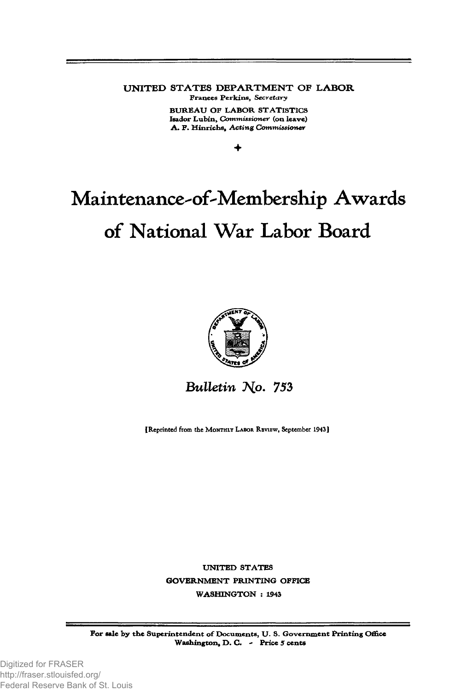**UNITED STATES DEPARTMENT OF LABOR Franccs Perkins,** *Secretary*

> **BUREAU OF LABOR STATISTICS Isador Lukin,** *Commissioner* **(on leave) A . F. Hinrichs,** *Acting Commissioner*

> > *+*

# **Maintenance^of^Membership Awards of National War Labor Board**



*Bulletin No. 753* 

I Reprinted from the **M o n t h l y La b o r** Rbvibw, September 1943}

**UNITED STATES GOVERNMENT PRINTING OFFICE WASHINGTON : 1943**

**For sale by the Superintendent of Documents, U. S. Government Printing Office** Washington, D. C. - Price 5 cents

Digitized for FRASER http://fraser.stlouisfed.org/ Federal Reserve Bank of St. Louis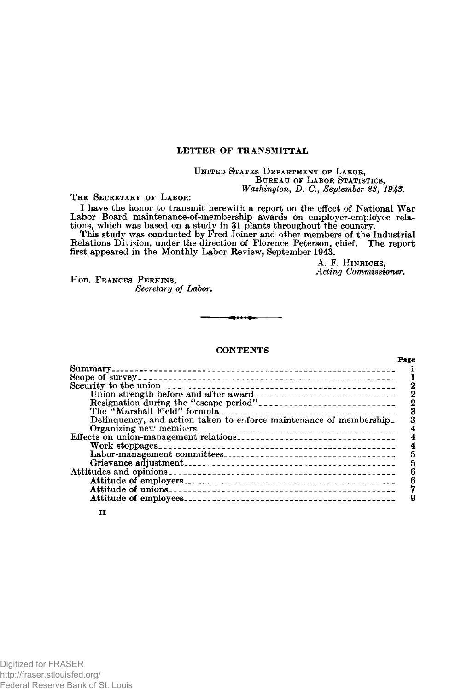#### **LETTER OF TRANSMITTAL**

UNITED STATES DEPARTMENT OF LABOR, B u r e a u o f L a b o r S t a t i s t i c s , *Washington***,** *D. C***.,** *September 28, 194S.*

THE SECRETARY OF LABOR:

I have the honor to transmit herewith a report on the effect of National War Labor Board maintenance-of-membership awards on employer-employee relations, which was based oh a study in 31 plants throughout the country.

This study was conducted by Fred Joiner and other members of the Industrial Relations Division, under the direction of Florence Peterson, chief. The report first appeared in the Monthly Labor Review, September 1943.

> A. F. HINRICHS, *Acting Commissioner***.**

Hon. FRANCES PERKINS, *Secretary of Labor***.**

#### **CONTENTS**

|                                                                     | Page |
|---------------------------------------------------------------------|------|
|                                                                     |      |
|                                                                     |      |
|                                                                     |      |
|                                                                     |      |
|                                                                     |      |
|                                                                     |      |
| Delinquency, and action taken to enforce maintenance of membership. |      |
| Organizing new members_                                             |      |
|                                                                     |      |
|                                                                     |      |
|                                                                     |      |
|                                                                     |      |
|                                                                     |      |
|                                                                     |      |
|                                                                     |      |
|                                                                     |      |
|                                                                     |      |

|  | ۰. |
|--|----|

Digitized for FRASER http://fraser.stlouisfed.org/ Federal Reserve Bank of St. Louis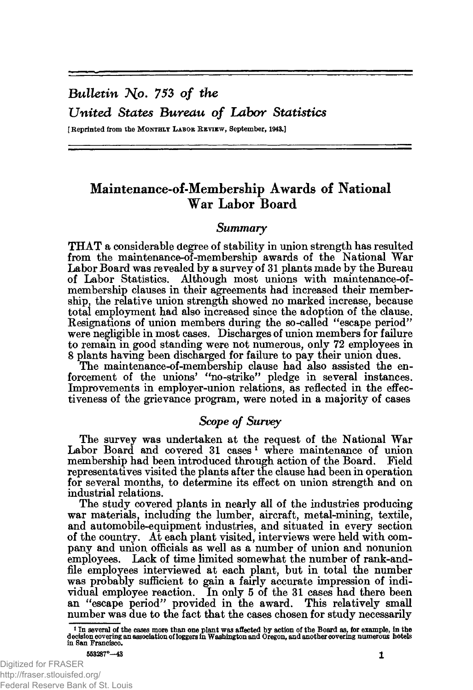# *Bulletin No.* 753 of the *United States Bureau of Labor Statistics*

[Reprinted from the MONTHLY LABOR REVIEW, September, 1943.]

# Maintenance-of-Membership Awards of National War Labor Board

### *Summary*

THAT a considerable degree of stability in union strength has resulted from the maintenance-of-membership awards of the National War Labor Board was revealed by a survey of 31 plants made by the Bureau of Labor Statistics. Although most unions with maintenance-ofmembership clauses in their agreements had increased their membership, the relative union strength showed no marked increase, because total employment had also increased since the adoption of the clause. Resignations of union members during the so-called " escape period" were negligible in most cases. Discharges of union members for failure to remain in good standing were not numerous, only 72 employees in 8 plants having been discharged for failure to pay their union dues.

The maintenance-of-membership clause had also assisted the enforcement of the unions' "no-strike" pledge in several instances. Improvements in employer-union relations, as reflected in the effectiveness of the grievance program, were noted in a majority of cases

## *Scope of Survey*

The survey was undertaken at the request of the National War Labor Board and covered 31 cases<sup>1</sup> where maintenance of union membership had been introduced through action of the Board. Field representatives visited the plants after the clause had been in operation for several months, to determine its effect on union strength and on industrial relations.

The study covered plants in nearly all of the industries producing war materials, including the lumber, aircraft, metal-mining, textile, and automobile-equipment industries, and situated in every section of the country. At each plant visited, interviews were held with company and union officials as well as a number of union and nonunion employees. Lack of time limited somewhat the number of rank-andfile employees interviewed at each plant, but in total the number was probably sufficient to gain a fairly accurate impression of individual employee reaction. In only 5 of the 31 cases had there been an "escape period" provided in the award. This relatively small number was due to the fact that the cases chosen for study necessarily

<sup>1</sup> In several of the cases more than one plant was affected b y action of the Board as, for example, in the decision covering an association of loggers in Washington and Oregon, and another covering numerous hotels in San Francisco.

<sup>553287°—43 1</sup>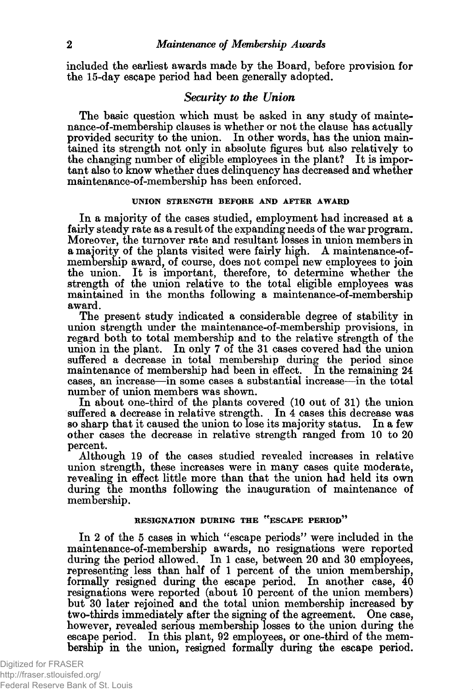included the earliest awards made by the Board, before provision for the 15-day escape period had been generally adopted.

#### *Security to the Union*

The basic question which must be asked in any study of maintenance-of-membership clauses is whether or not the clause has actually provided security to the union. In other words, has the union maintained its strength not only in absolute figures but also relatively to the changing number of eligible employees in the plant? It is important also to know whether dues delinquency has decreased and whether maintenance-of-membership has been enforced.

#### **UNION STRENGTH BEFORE AND AFTER AWARD**

In a majority of the cases studied, employment had increased at a fairly steady rate as a result of the expanding needs of the war program. Moreover, the turnover rate and resultant losses in union members in a majority of the plants visited were fairly high. A maintenance-ofmembership award, of course, does not compel new employees to join the union. It is important, therefore, to determine whether the strength of the union relative to the total eligible employees was maintained in the months following a maintenance-of-membership award.

The present study indicated a considerable degree of stability in union strength under the maintenance-of-membership provisions, in regard both to total membership and to the relative strength of the union in the plant. In only 7 of the 31 cases covered had the union suffered a decrease in total membership during the period since maintenance of membership had been in effect. In the remaining 24 cases, an increase—in some cases a substantial increase—in the total number of union members was shown.

In about one-third of the plants covered (10 out of 31) the union suffered a decrease in relative strength. In 4 cases this decrease was so sharp that it caused the union to lose its majority status. In a few other cases the decrease in relative strength ranged from 10 to 20 percent.

Although 19 of the cases studied revealed increases in relative union strength, these increases were in many cases quite moderate, revealing in effect little more than that the union had held its own during the months following the inauguration of maintenance of membership.

#### **RESIGNATION DURING THE "ESCAPE PERIOD"**

In 2 of the 5 cases in which "escape periods" were included in the maintenance-of-membership awards, no resignations were reported during the period allowed. In 1 case, between 20 and 30 employees, representing less than half of 1 percent of the union membership, formally resigned during the escape period. In another case, 40 resignations were reported (about 10 percent of the union members) but 30 later rejoined and the total union membership increased by two-thirds immediately after the signing of the agreement. One case, however, revealed serious membership losses to the union during the escape period. In this plant, 92 employees, or one-third of the membership in the union, resigned formally during the escape period.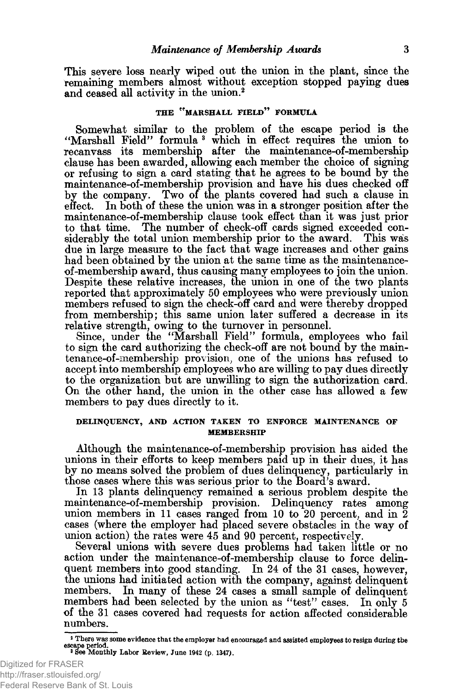This severe loss nearly wiped out the union in the plant, since the remaining members almost without exception stopped paying dues and ceased all activity in the union.2

#### **THE "MARSHALL FIELD" FORMULA**

Somewhat similar to the problem of the escape period is the "Marshall Field" formula<sup>3</sup> which in effect requires the union to recanvass its membership after the maintenance-of-membership clause has been awarded, allowing each member the choice of signing or refusing to sign a card stating that he agrees to be bound by the maintenance-of-membership provision and have his dues checked off by the company. Two of the plants covered had such a clause in effect. In both of these the union was in a stronger position after the maintenance-of-membership clause took effect than it was just prior to that time. The number of check-off cards signed exceeded considerably the total union membership prior to the award. This was due in large measure to the fact that wage increases and other gains had been obtained by the union at the same time as the maintenanceof-membership award, thus causing many employees to join the union. Despite these relative increases, the union in one of the two plants reported that approximately 50 employees who were previously union members refused to sign the check-off card and were thereby dropped from membership; this same union later suffered a decrease in its relative strength, owing to the turnover in personnel.

Since, under the "Marshall Field" formula, employees who fail to sign the card authorizing the check-off are not bound by the maintenance-of-membership provision, one of the unions has refused to accept into membership employees who are willing to pay dues directly to the organization but are unwilling to sign the authorization card. On the other hand, the union in the other case has allowed a few members to pay dues directly to it.

#### **DELINQUENCY, AND ACTION TAKEN TO ENFORCE MAINTENANCE OF MEMBERSHIP**

Although the maintenance-of-membership provision has aided the unions in their efforts to keep members paid up in their dues, it has by no means solved the problem of dues delinquency, particularly in those cases where this was serious prior to the Board's award.

In 13 plants delinquency remained a serious problem despite the maintenance-of-membership provision. Delinquency rates among union members in 11 cases ranged from 10 to 20 percent, and in 2 cases (where the employer had placed severe obstacles in the way of union action) the rates were 45 and 90 percent, respectively.

Several unions with severe dues problems had taken little or no action under the maintenance-of-membership clause to force delinquent members into good standing. In 24 of the 31 cases, however, the unions had initiated action with the company, against delinquent members. In many of these 24 cases a small sample of delinquent members had been selected by the union as "test" cases. In only 5 of the 31 cases covered had requests for action affected considerable numbers.

<sup>2</sup> There was some evidence that the employer had encouraged and assisted employees to resign during the escape period. 3 See Monthly Labor Review, June 1942 (p. 1347).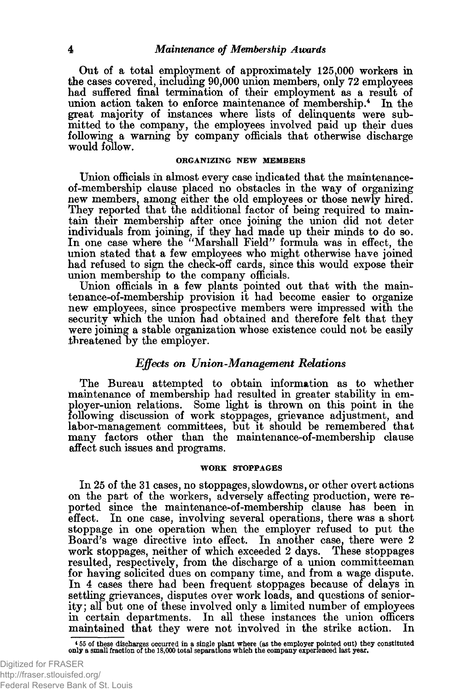Out of a total employment of approximately 125,000 workers in the cases covered, including 90,000 union members, only 72 employees had suffered final termination of their employment as a result of union action taken to enforce maintenance of membership.4 In the great majority of instances where lists of delinquents were submitted to the company, the employees involved paid up their dues following a warning by company officials that otherwise discharge would follow.

#### **ORGANIZING NEW MEMBERS**

Union officials in almost every case indicated that the maintenanceof-membership clause placed no obstacles in the way of organizing new members, among either the old employees or those newly hired. They reported that the additional factor of being required to maintain their membership after once joining the union did not deter individuals from joining, if they had made up their minds to do so. In one case where the "Marshall Field" formula was in effect, the union stated that a few employees who might otherwise have joined had refused to sign the check-off cards, since this would expose their union membership to the company officials.

Union officials in a few plants pointed out that with the maintenance-of-membership provision it had become easier to organize new employees, since prospective members were impressed with the security which the union had obtained and therefore felt that they were joining a stable organization whose existence could not be easily threatened by the employer.

#### *Effects on Union-Management Relations*

The Bureau attempted to obtain information as to whether maintenance of membership had resulted in greater stability in employer-union relations. Some light is thrown on this point in the following discussion of work stoppages, grievance adjustment, and labor-management committees, but it should be remembered that many factors other than the maintenance-of-membership clause affect such issues and programs.

#### **WORK STOPPAGES**

In 25 of the 31 cases, no stoppages, slowdowns, or other overt actions on the part of the workers, adversely affecting production, were reported since the maintenance-of-membership clause has been in effect. In one case, involving several operations, there was a short stoppage in one operation when the employer refused to put the Board's wage directive into effect. In another case, there were 2 work stoppages, neither of which exceeded 2 days. These stoppages resulted, respectively, from the discharge of a union committeeman for having solicited dues on company time, and from a wage dispute. In 4 cases there had been frequent stoppages because of delays in settling grievances, disputes over work loads, and questions of seniority; all but one of these involved only a limited number of employees in certain departments. In all these instances the union officers maintained that they were not involved in the strike action.

*<sup>\*</sup> 55* of these discharges occurred in a single plant where (as the employer pointed out) they constituted only a small fraction of the 18,000 total separations which the company experienced last year.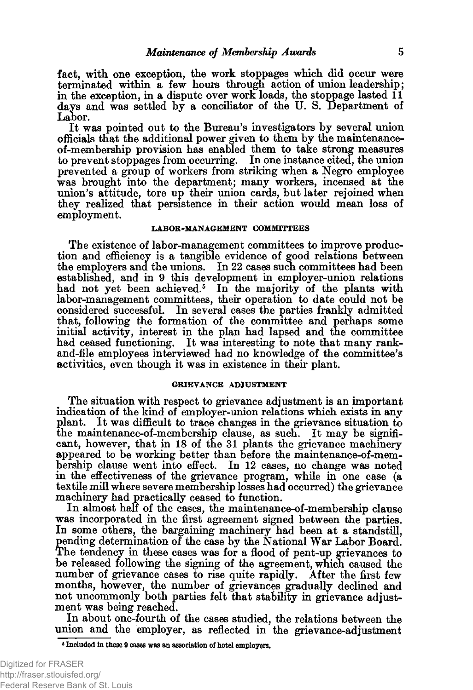fact, with one exception, the work stoppages which did occur were terminated within a few hours through action of union leadership; in the exception, in a dispute over work loads, the stoppage lasted  $\overline{11}$ days and was settled by a conciliator of the U. S. Department of Labor.

It was pointed out to the Bureau's investigators by several union officials that the additional power given to them by the maintenanceof-membership provision has enabled them to take strong measures to prevent stoppages from occurring. In one instance cited, the union prevented a group of workers from striking when a Negro employee was brought into the department; many workers, incensed at the union's attitude, tore up their union cards, but later rejoined when they realized that persistence in their action would mean loss of employment.

#### **LABOR-MANAGEMENT COMMITTEES**

The existence of labor-management committees to improve production and efficiency is a tangible evidence of good relations between the employers and the unions. In 22 cases such committees had been established, and in 9 this development in employer-union relations had not yet been achieved.<sup>5</sup> In the majority of the plants with labor-management committees, their operation to date could not be considered successful. In several cases the parties frankly admitted that, following the formation of the committee and perhaps some initial activity, interest in the plan had lapsed and the committee had ceased functioning. It was interesting to note that many rankand-file employees interviewed had no knowledge of the committee's activities, even though it was in existence in their plant.

#### **GRIEVANCE ADJUSTMENT**

The situation with respect to grievance adjustment is an important indication of the kind of employer-union relations which exists in any plant. It was difficult to trace changes in the grievance situation to the maintenance-of-membership clause, as such. It may be significant, however, that in 18 of the 31 plants the grievance machinery appeared to be working better than before the maintenance-of-membership clause went into effect. In 12 cases, no change was noted in the effectiveness of the grievance program, while in one case (a textile mill where severe membership losses had occurred) the grievance machinery had practically ceased to function.

In almost half of the cases, the maintenance-of-membership clause was incorporated in the first agreement signed between the parties. In some others, the bargaining machinery had been at a standstill, pending determination of the case by the National War Labor Board. The tendency in these cases was for a flood of pent-up grievances to be released following the signing of the agreement, which caused the number of grievance cases to rise quite rapidly. After the first few months, however, the number of grievances gradually declined and not uncommonly both parties felt that stability in grievance adjustment was being reached.

In about one-fourth of the cases studied, the relations between the union and the employer, as reflected in the grievance-adjustment

*6* **Included in these 9 cases was an association of hotel employers.**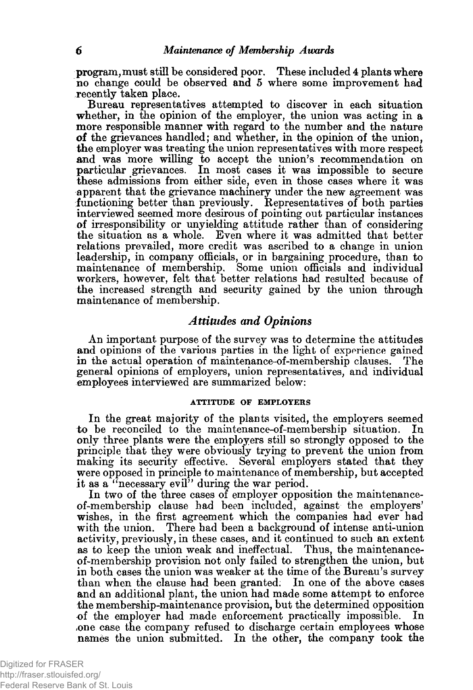program, must still be considered poor. These included 4 plants where no change could be observed and 5 where some improvement had recently taken place.

Bureau representatives attempted to discover in each situation whether, in the opinion of the employer, the union was acting in a more responsible manner with regard to the number and the nature of the grievances handled; and whether, in the opinion of the union, the employer was treating the union representatives with more respect and was more willing to accept the union's recommendation on particular grievances. In most cases it was impossible to secure these admissions from either side, even in those cases where it was apparent that the grievance machinery under the new agreement was functioning better than previously. Representatives of both parties interviewed seemed more desirous of pointing out particular instances of irresponsibility or unyielding attitude rather than of considering the situation as a whole. Even where it was admitted that better relations prevailed, more credit was ascribed to a change in union leadership, in company officials, or in bargaining procedure, than to maintenance of membership. Some union officials and individual workers, however, felt that better relations had resulted because of the increased strength and security gained by the union through maintenance of membership.

# *Attitudes and Opinions*

An important purpose of the survey was to determine the attitudes and opinions of the various parties in the light of experience gained in the actual operation of maintenance-of-membership clauses. The general opinions of employers, union representatives, and individual employees interviewed are summarized below:

#### **ATTITUDE OF EMPLOYERS**

In the great majority of the plants visited, the employers seemed to be reconciled to the maintenance-of-membership situation. In only three plants were the employers still so strongly opposed to the principle that they were obviously trying to prevent the union from making its security effective. Several employers stated that they were opposed in principle to maintenance of membership, but accepted it as a "necessary evil" during the war period.

In two of the three cases of employer opposition the maintenanceof-membership clause had been included, against the employers' wishes, in the first agreement which the companies had ever had with the union. There had been a background of intense anti-union activity, previously, in these cases, and it continued to such an extent as to keep the union weak and ineffectual. Thus, the maintenanceof-membership provision not only failed to strengthen the union, but in both cases the union was weaker at the time of the Bureau's survey than when the clause had been granted; In one of the above cases and an additional plant, the union had made some attempt to enforce the membership-maintenance provision, but the determined opposition of the employer had made enforcement practically impossible. In ,one case the company refused to discharge certain employees whose names the union submitted. In the other, the company took the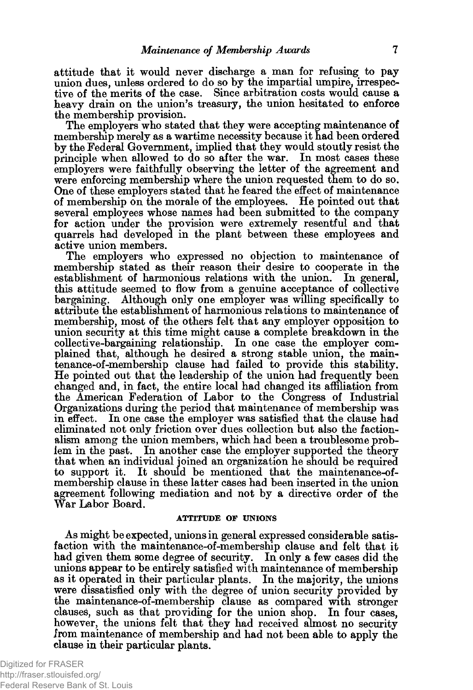attitude that it would never discharge a man for refusing to pay union dues, unless ordered to do so by the impartial umpire, irrespective of the merits of the case. Since arbitration costs would cause a heavy drain on the union's treasury, the union hesitated to enforce the membership provision.

The employers who stated that they were accepting maintenance of membership merely as a wartime necessity because it had been ordered by the Federal Government, implied that they would stoutly resist the principle when allowed to do so after the war. In most cases these employers were faithfully observing the letter of the agreement and were enforcing membership where the union requested them to do so. One of these employers stated that he feared the effect of maintenance of membership on the morale of the employees. He pointed out that several employees whose names had been submitted to the company for action under the provision were extremely resentful and that quarrels had developed in the plant between these employees and active union members.

The employers who expressed no objection to maintenance of membership stated as their reason their desire to cooperate in the establishment of harmonious relations with the union. In general, this attitude seemed to flow from a genuine acceptance of collective bargaining. Although only one employer was willing specifically to attribute the establishment of harmonious relations to maintenance of membership, most of the others felt that any employer opposition to union security at this time might cause a complete breakdown in the collective-bargaining relationship. In one case the employer complained that, although he desired a strong stable union, the maintenance-of-membership clause had failed to provide this stability. He pointed out that the leadership of the union had frequently been changed and, in fact, the entire local had changed its affiliation from the American Federation of Labor to the Congress of Industrial Organizations during the period that maintenance of membership was in effect. In one case the employer was satisfied that the clause had eliminated not only friction over dues collection but also the factionalism among the union members, which had been a troublesome problem in the past. In another case the employer supported the theory that when an individual joined an organization he should be required to support it. It should be mentioned that the maintenance-ofmembership clause in these latter cases had been inserted in the union agreement following mediation and not by a directive order of the War Labor Board.

#### **ATTITUDE OF UNIONS**

As might be expected, unions in general expressed considerable satisfaction with the maintenance-of-membership clause and felt that it had given them some degree of security. In only a few cases did the unions appear to be entirely satisfied with maintenance of membership as it operated in their particular plants. In the majority, the unions were dissatisfied only with the degree of union security provided by the maintenance-of-membership clause as compared with stronger clauses, such as that providing for the union shop. In four cases, however, the unions felt that they had received almost no security /rom maintenance of membership and had not been able to apply the clause in their particular plants.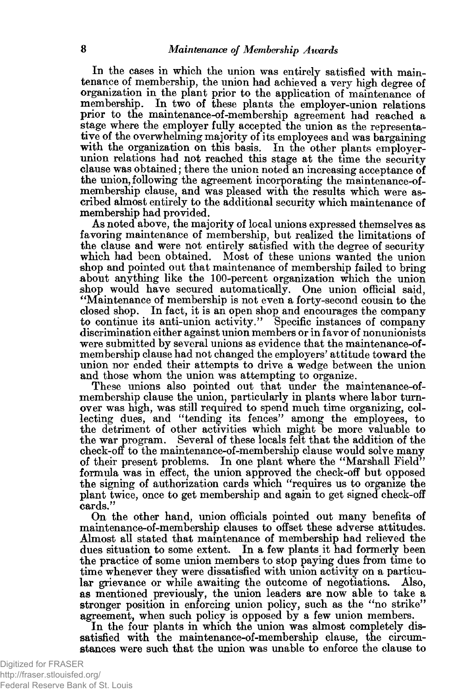In the cases in which the union was entirely satisfied with maintenance of membership, the union had achieved a very high degree of organization in the plant prior to the application of maintenance of membership. In two of these plants the employer-union relations prior to the maintenance-of-membership agreement had reached a stage where the employer fully accepted the union as the representative of the overwhelming majority of its employees and was bargaining with the organization on this basis. In the other plants employerunion relations had not reached this stage at the time the security clause was obtained; there the union noted an increasing acceptance of the union, following the agreement incorporating the maintenance-ofmembership clause, and was pleased with the results which were ascribed almost entirely to the additional security which maintenance of membership had provided.

As noted above, the majority of local unions expressed themselves as favoring maintenance of membership, but realized the limitations of the clause and were not entirely satisfied with the degree of security which had been obtained. Most of these unions wanted the union shop and pointed out that maintenance of membership failed to bring &bout anything like the 100-percent organization which the union shop would have secured automatically. One union official said, " Maintenance of membership is not even a forty-second cousin to the closed shop. In fact, it is an open shop and encourages the company to continue its anti-union activity." Specific instances of company discrimination either against union members or in favor of nonunionists were submitted by several unions as evidence that the maintenance-ofmembership clause had not changed the employers' attitude toward the union nor ended their attempts to drive a wedge between the union and those whom the union was attempting to organize.

These unions also pointed out that under the maintenance-ofmembership clause the union, particularly in plants where labor turnover was high, was still required to spend much time organizing, collecting dues, and "tending its fences" among the employees, to the detriment of other activities which might be more valuable to the war program. Several of these locals felt that the addition of the check-off to the maintenance-of-membership clause would solve many of their present problems. In one plant where the "Marshall Field" formula was in effect, the union approved the check-off but opposed the signing of authorization cards which "requires us to organize the plant twice, once to get membership and again to get signed check-off cards."

On the other hand, union officials pointed out many benefits of maintenance-of-membership clauses to offset these adverse attitudes. Almost all stated that maintenance of membership had relieved the dues situation to some extent. In a few plants it had formerly been the practice of some union members to stop paying dues from time to time whenever they were dissatisfied with union activity on a particular grievance or while awaiting the outcome of negotiations. Also, as mentioned previously, the union leaders are now able to take a stronger position in enforcing union policy, such as the "no strike" agreement, when such policy is opposed by a few union members.

In the four plants in which the union was almost completely dissatisfied with the maintenance-of-membership clause, the circumstances were such that the union was unable to enforce the clause to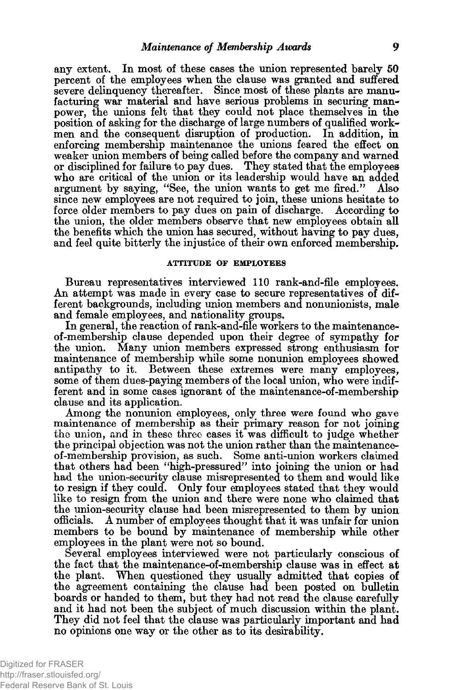any extent. In most of these cases the union represented barely 50 percent of the employees when the clause was granted and suffered severe delinquency thereafter. Since most of these plants are manufacturing war material and have serious problems in securing manpower, the unions felt that they could not place themselves in the position of asking for the discharge of large numbers of qualified workmen and the consequent disruption of production. In addition, in enforcing membership maintenance the unions feared the effect on weaker union members of being called before the company and warned or disciplined for failure to pay dues. They stated that the employees who are critical of the union or its leadership would have an added argument by saying, "See, the union wants to get me fired." Also since new employees are not required to join, these unions hesitate to force older members to pay dues on pain of discharge. According to the union, the older members observe that new employees obtain all the benefits which the union has secured, without having to pay dues, and feel quite bitterly the injustice of their own enforced membership.

#### **ATTITUDE OF EMPLOYEES**

Bureau representatives interviewed 110 rank-and-file employees. An attempt was made in every case to secure representatives of different backgrounds, including union members and nonunionists, male and female employees, and nationality groups.

In general, the reaction of rank-and-file workers to the maintenanceof-membership clause depended upon their degree of sympathy for the union. Many union members expressed strong enthusiasm for maintenance of membership while some nonunion employees showed antipathy to it. Between these extremes were many employees, some of them dues-paying members of the local union, who were indifferent and in some cases ignorant of the maintenance-of-membership clause and its application.

Among the nonunion employees, only three were found who gave maintenance of membership as their primary reason for not joining the union, and in these three cases it was difficult to judge whether the principal objection was not the union rather than the maintenanceof-membership provision, as such. Some anti-union workers claimed that others had been "high-pressured" into joining the union or had had the union-security clause misrepresented to them and would like to resign if they could. Only four employees stated that they would like to resign from the union and there were none who claimed that the union-security clause had been misrepresented to them by union A number of employees thought that it was unfair for union members to be bound by maintenance of membership while other employees in the plant were not so bound.

Several employees interviewed were not particularly conscious of the fact that the maintenance-of-membership clause was in effect at the plant. When questioned they usually admitted that copies of the agreement containing the clause had been posted on bulletin boards or handed to them, but they had not read the clause carefully and it had not been the subject of much discussion within the plant. They did not feel that the clause was particularly important and had no opinions one way or the other as to its desirability.